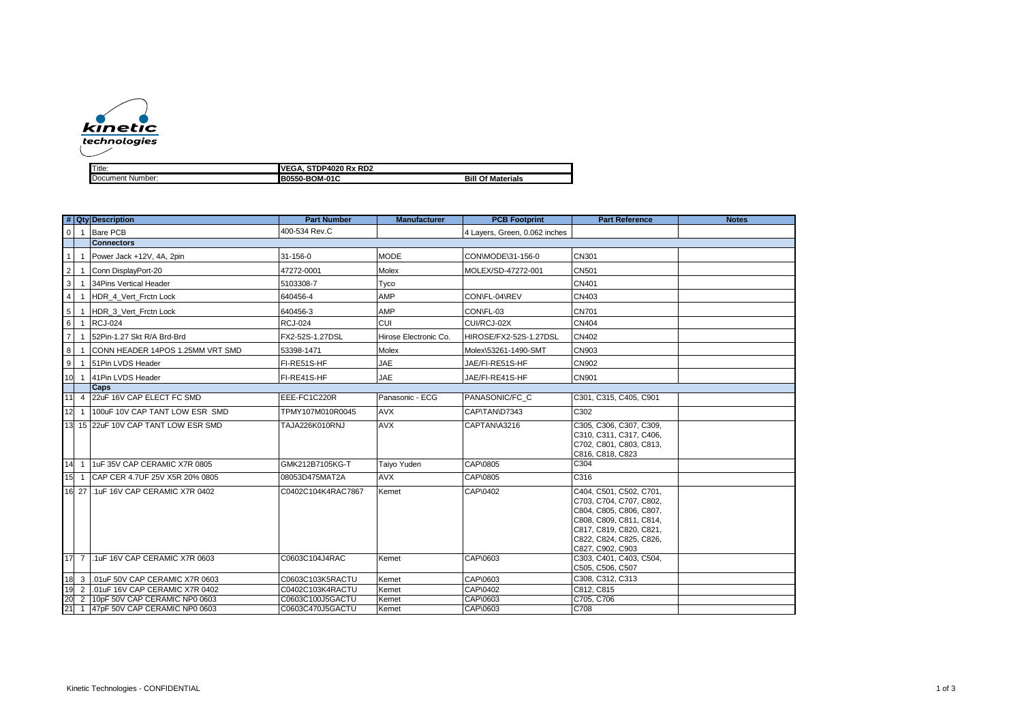

| <b>ITitle</b>       | RD <sub>2</sub><br>0000.<br>в.<br>ιvι<br>אחי<br>. .<br>. . |                        |  |  |  |
|---------------------|------------------------------------------------------------|------------------------|--|--|--|
| Document<br>Number: | -010<br>B0<br>50-B<br>⊿OM∙′                                | О1<br>Bil<br>Materials |  |  |  |

|                 |                | # Qty Description                   | <b>Part Number</b> | <b>Manufacturer</b>   | <b>PCB Footprint</b>          | <b>Part Reference</b>                                                                                                                                                              | <b>Notes</b> |
|-----------------|----------------|-------------------------------------|--------------------|-----------------------|-------------------------------|------------------------------------------------------------------------------------------------------------------------------------------------------------------------------------|--------------|
| $\overline{0}$  | $\overline{1}$ | Bare PCB                            | 400-534 Rev.C      |                       | 4 Lavers. Green. 0.062 inches |                                                                                                                                                                                    |              |
|                 |                | <b>Connectors</b>                   |                    |                       |                               |                                                                                                                                                                                    |              |
| $\mathbf{1}$    |                | Power Jack +12V, 4A, 2pin           | 31-156-0           | <b>MODE</b>           | CON\MODE\31-156-0             | CN301                                                                                                                                                                              |              |
| $\overline{2}$  | -1             | Conn DisplayPort-20                 | 47272-0001         | Molex                 | MOLEX/SD-47272-001            | <b>CN501</b>                                                                                                                                                                       |              |
| $\mathbf{3}$    |                | 34Pins Vertical Header              | 5103308-7          | Tyco                  |                               | <b>CN401</b>                                                                                                                                                                       |              |
| $\overline{4}$  | $\mathbf{1}$   | HDR 4 Vert Frctn Lock               | 640456-4           | AMP                   | CON\FL-04\REV                 | CN403                                                                                                                                                                              |              |
| $5\overline{5}$ |                | HDR 3 Vert Frctn Lock               | 640456-3           | AMP                   | CON\FL-03                     | <b>CN701</b>                                                                                                                                                                       |              |
| 6               | $\overline{1}$ | <b>RCJ-024</b>                      | <b>RCJ-024</b>     | <b>CUI</b>            | CUI/RCJ-02X                   | <b>CN404</b>                                                                                                                                                                       |              |
| $\overline{7}$  |                | 52Pin-1.27 Skt R/A Brd-Brd          | FX2-52S-1.27DSL    | Hirose Electronic Co. | HIROSE/FX2-52S-1.27DSL        | CN402                                                                                                                                                                              |              |
| 8               | $\mathbf{1}$   | CONN HEADER 14POS 1.25MM VRT SMD    | 53398-1471         | Molex                 | Molex\53261-1490-SMT          | CN903                                                                                                                                                                              |              |
| 9               | $\mathbf{1}$   | 51Pin LVDS Header                   | FI-RE51S-HF        | <b>JAE</b>            | JAE/FI-RE51S-HF               | <b>CN902</b>                                                                                                                                                                       |              |
| 10              | $\overline{1}$ | 41Pin LVDS Header                   | FI-RE41S-HF        | JAE                   | JAE/FI-RE41S-HF               | <b>CN901</b>                                                                                                                                                                       |              |
|                 |                | <b>Caps</b>                         |                    |                       |                               |                                                                                                                                                                                    |              |
| 11              |                | 4 22uF 16V CAP ELECT FC SMD         | EEE-FC1C220R       | Panasonic - ECG       | PANASONIC/FC C                | C301, C315, C405, C901                                                                                                                                                             |              |
| 112             |                | 1 100uF 10V CAP TANT LOW ESR SMD    | TPMY107M010R0045   | <b>AVX</b>            | CAP\TAN\D7343                 | C302                                                                                                                                                                               |              |
|                 |                | 13 15 22uF 10V CAP TANT LOW ESR SMD | TAJA226K010RNJ     | <b>AVX</b>            | CAPTAN\A3216                  | C305, C306, C307, C309,<br>C310, C311, C317, C406,<br>C702, C801, C803, C813,<br>C816, C818, C823                                                                                  |              |
| 14              |                | 1 1uF 35V CAP CERAMIC X7R 0805      | GMK212B7105KG-T    | Taiyo Yuden           | CAP\0805                      | C <sub>304</sub>                                                                                                                                                                   |              |
| 15              |                | 1 CAP CER 4.7UF 25V X5R 20% 0805    | 08053D475MAT2A     | <b>AVX</b>            | CAP\0805                      | C316                                                                                                                                                                               |              |
|                 |                | 16 27 .1uF 16V CAP CERAMIC X7R 0402 | C0402C104K4RAC7867 | Kemet                 | CAP\0402                      | C404, C501, C502, C701,<br>C703, C704, C707, C802,<br>C804, C805, C806, C807,<br>C808, C809, C811, C814,<br>C817, C819, C820, C821,<br>C822, C824, C825, C826,<br>C827, C902, C903 |              |
|                 |                | 17 7 .1uF 16V CAP CERAMIC X7R 0603  | C0603C104J4RAC     | Kemet                 | CAP\0603                      | C303, C401, C403, C504,<br>C505, C506, C507                                                                                                                                        |              |
| 18              |                | 3 .01uF 50V CAP CERAMIC X7R 0603    | C0603C103K5RACTU   | Kemet                 | CAP\0603                      | C308, C312, C313                                                                                                                                                                   |              |
| 19              | 2              | .01uF 16V CAP CERAMIC X7R 0402      | C0402C103K4RACTU   | Kemet                 | CAP\0402                      | C812, C815                                                                                                                                                                         |              |
| 20              | 2              | 10pF 50V CAP CERAMIC NP0 0603       | C0603C100J5GACTU   | Kemet                 | CAP\0603                      | C705, C706                                                                                                                                                                         |              |
| 21              |                | 1 47pF 50V CAP CERAMIC NP0 0603     | C0603C470J5GACTU   | Kemet                 | CAP\0603                      | C708                                                                                                                                                                               |              |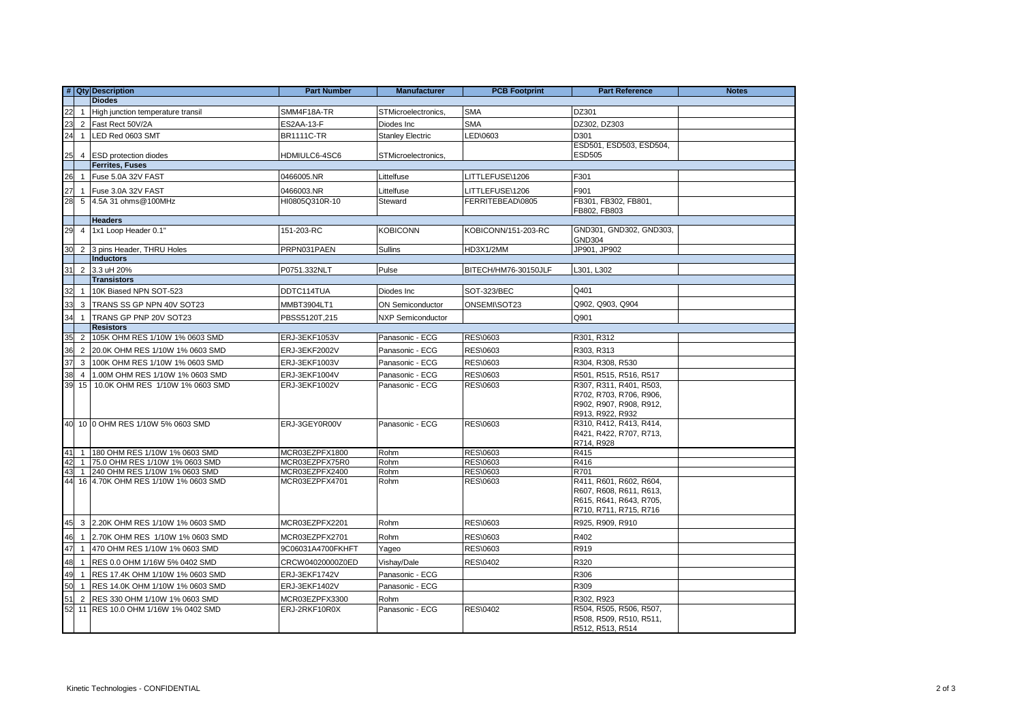|    |                | # Qty Description                    | <b>Part Number</b> | <b>Manufacturer</b>      | <b>PCB Footprint</b> | <b>Part Reference</b>                              | <b>Notes</b> |
|----|----------------|--------------------------------------|--------------------|--------------------------|----------------------|----------------------------------------------------|--------------|
|    |                | <b>Diodes</b>                        |                    |                          |                      |                                                    |              |
| 22 |                | 1 High junction temperature transil  | SMM4F18A-TR        | STMicroelectronics,      | <b>SMA</b>           | DZ301                                              |              |
| 23 |                | 2 Fast Rect 50V/2A                   | ES2AA-13-F         | Diodes Inc               | <b>SMA</b>           | DZ302, DZ303                                       |              |
| 24 | $\mathbf{1}$   | LED Red 0603 SMT                     | <b>BR1111C-TR</b>  | <b>Stanley Electric</b>  | LED\0603             | D301                                               |              |
|    |                |                                      |                    |                          |                      | ESD501, ESD503, ESD504,                            |              |
| 25 |                | 4 ESD protection diodes              | HDMIULC6-4SC6      | STMicroelectronics,      |                      | <b>ESD505</b>                                      |              |
|    |                | <b>Ferrites, Fuses</b>               |                    |                          |                      |                                                    |              |
| 26 |                | 1 Fuse 5.0A 32V FAST                 | 0466005.NR         | Littelfuse               | LITTLEFUSE\1206      | F301                                               |              |
| 27 |                | 1 Fuse 3.0A 32V FAST                 | 0466003.NR         | Littelfuse               | LITTLEFUSE\1206      | F901                                               |              |
| 28 |                | 5 4.5A 31 ohms@100MHz                | HI0805Q310R-10     | Steward                  | FERRITEBEAD\0805     | FB301, FB302, FB801,                               |              |
|    |                |                                      |                    |                          |                      | FB802, FB803                                       |              |
|    |                | <b>Headers</b>                       |                    |                          |                      |                                                    |              |
| 29 |                | 4 1x1 Loop Header 0.1"               | 151-203-RC         | <b>KOBICONN</b>          | KOBICONN/151-203-RC  | GND301, GND302, GND303,<br><b>GND304</b>           |              |
| 30 |                | 2 3 pins Header, THRU Holes          | PRPN031PAEN        | Sullins                  | HD3X1/2MM            | JP901, JP902                                       |              |
|    |                | <b>Inductors</b>                     |                    |                          |                      |                                                    |              |
| 31 |                | 2 3.3 uH 20%                         | P0751.332NLT       | Pulse                    | BITECH/HM76-30150JLF | L301, L302                                         |              |
|    |                | <b>Transistors</b>                   |                    |                          |                      |                                                    |              |
| 32 |                | 1 10K Biased NPN SOT-523             | DDTC114TUA         | Diodes Inc               | <b>SOT-323/BEC</b>   | Q401                                               |              |
| 33 |                | 3 TRANS SS GP NPN 40V SOT23          | MMBT3904LT1        | <b>ON Semiconductor</b>  | ONSEMI\SOT23         | Q902, Q903, Q904                                   |              |
| 34 | $\mathbf{1}$   | TRANS GP PNP 20V SOT23               | PBSS5120T,215      | <b>NXP Semiconductor</b> |                      | Q901                                               |              |
|    |                | <b>Resistors</b>                     |                    |                          |                      |                                                    |              |
| 35 | $\overline{2}$ | 105K OHM RES 1/10W 1% 0603 SMD       | ERJ-3EKF1053V      | Panasonic - ECG          | <b>RES\0603</b>      | R301, R312                                         |              |
| 36 |                | 2 20.0K OHM RES 1/10W 1% 0603 SMD    | ERJ-3EKF2002V      | Panasonic - ECG          | <b>RES\0603</b>      | R303, R313                                         |              |
| 37 | 3              | 100K OHM RES 1/10W 1% 0603 SMD       | ERJ-3EKF1003V      | Panasonic - ECG          | RES\0603             | R304, R308, R530                                   |              |
| 38 | $\overline{4}$ | 1.00M OHM RES 1/10W 1% 0603 SMD      | ERJ-3EKF1004V      | Panasonic - ECG          | RES\0603             | R501, R515, R516, R517                             |              |
| 39 | 15             | 10.0K OHM RES 1/10W 1% 0603 SMD      | ERJ-3EKF1002V      | Panasonic - ECG          | RES\0603             | R307, R311, R401, R503,                            |              |
|    |                |                                      |                    |                          |                      | R702, R703, R706, R906,                            |              |
|    |                |                                      |                    |                          |                      | R902, R907, R908, R912,                            |              |
|    |                |                                      |                    |                          |                      | R913, R922, R932                                   |              |
|    |                | 40 10 0 OHM RES 1/10W 5% 0603 SMD    | ERJ-3GEY0R00V      | Panasonic - ECG          | <b>RES\0603</b>      | R310, R412, R413, R414,                            |              |
|    |                |                                      |                    |                          |                      | R421, R422, R707, R713,<br>R714, R928              |              |
| 41 |                | 1 180 OHM RES 1/10W 1% 0603 SMD      | MCR03EZPFX1800     | Rohm                     | RES\0603             | R415                                               |              |
| 42 |                | 1 75.0 OHM RES 1/10W 1% 0603 SMD     | MCR03EZPFX75R0     | Rohm                     | <b>RES\0603</b>      | R416                                               |              |
| 43 |                | 1 240 OHM RES 1/10W 1% 0603 SMD      | MCR03EZPFX2400     | Rohm                     | RES\0603             | R701                                               |              |
| 44 |                | 16 4.70K OHM RES 1/10W 1% 0603 SMD   | MCR03EZPFX4701     | Rohm                     | <b>RES\0603</b>      | R411, R601, R602, R604,                            |              |
|    |                |                                      |                    |                          |                      | R607, R608, R611, R613,<br>R615, R641, R643, R705, |              |
|    |                |                                      |                    |                          |                      | R710, R711, R715, R716                             |              |
| 45 |                | 3 2.20K OHM RES 1/10W 1% 0603 SMD    | MCR03EZPFX2201     | Rohm                     | <b>RES\0603</b>      | R925, R909, R910                                   |              |
|    |                |                                      |                    |                          |                      |                                                    |              |
| 46 |                | 1 2.70K OHM RES 1/10W 1% 0603 SMD    | MCR03EZPFX2701     | Rohm                     | <b>RES\0603</b>      | R402                                               |              |
| 47 |                | 1 470 OHM RES 1/10W 1% 0603 SMD      | 9C06031A4700FKHFT  | Yageo                    | <b>RES\0603</b>      | R919                                               |              |
| 48 |                | 1 RES 0.0 OHM 1/16W 5% 0402 SMD      | CRCW04020000Z0ED   | Vishay/Dale              | <b>RES\0402</b>      | R320                                               |              |
| 49 | $\overline{1}$ | RES 17.4K OHM 1/10W 1% 0603 SMD      | ERJ-3EKF1742V      | Panasonic - ECG          |                      | R306                                               |              |
| 50 |                | 1 RES 14.0K OHM 1/10W 1% 0603 SMD    | ERJ-3EKF1402V      | Panasonic - ECG          |                      | R309                                               |              |
| 51 |                | 2 RES 330 OHM 1/10W 1% 0603 SMD      | MCR03EZPFX3300     | Rohm                     |                      | R302, R923                                         |              |
|    |                | 52 11 RES 10.0 OHM 1/16W 1% 0402 SMD | ERJ-2RKF10R0X      | Panasonic - ECG          | <b>RES\0402</b>      | R504, R505, R506, R507,                            |              |
|    |                |                                      |                    |                          |                      | R508, R509, R510, R511,                            |              |
|    |                |                                      |                    |                          |                      | R512, R513, R514                                   |              |